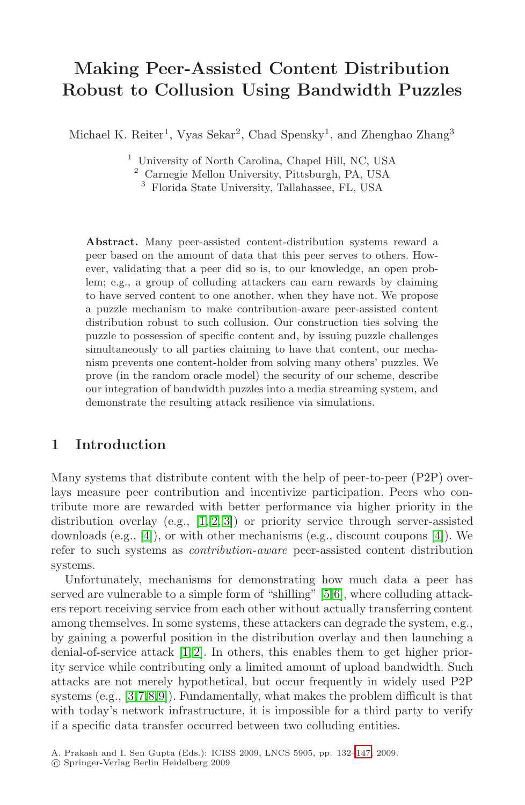# **Making Peer-Assisted Content Distribution Robust to Collusion Using Bandwidth Puzzles**

Michael K. Reiter<sup>1</sup>, Vyas Sekar<sup>2</sup>, Chad Spensky<sup>1</sup>, and Zhenghao Zhang<sup>3</sup>

<sup>1</sup> University of North Carolina, Chapel Hill, NC, USA

<sup>2</sup> Carnegie Mellon University, Pittsburgh, PA, USA

<sup>3</sup> Florida State University, Tallahassee, FL, USA

**Abstract.** Many peer-assisted content-distribution systems reward a peer based on the amount of data that this peer serves to others. However, validating that a peer did so is, to our knowledge, an open problem; e.g., a group of colluding attackers can earn rewards by claiming to have served content to one another, when they have not. We propose a puzzle mechanism to make contribution-aware peer-assisted content distribution robust to such collusion. Our construction ties solving the puzzle to possession of specific content and, by issuing puzzle challenges simultaneously to all parties claiming to have that content, our mechanism prevents one content-holder from solving many others' puzzles. We prove (in the random oracle model) the security of our scheme, describe our integration of bandwidth puzzles into a media streaming system, and de[m](#page-14-0)[on](#page-14-1)[str](#page-14-2)ate the resulting attack resilience via simulations.

# **1 Introduction**

Many systems that distribute c[on](#page-14-3)[ten](#page-14-4)t with the help of peer-to-peer (P2P) overlays measure peer contribution and incentivize participation. Peers who contribute more are rewarded with better performance via higher priority in the distribution overlay (e.g.,  $[1, 2, 3]$ ) or priority service through server-assisted down[lo](#page-14-0)[ad](#page-14-1)s (e.g., [4]), or with other mechanisms (e.g., discount coupons [4]). We refer to such systems as *contribution-aware* peer-assisted content distribution systems.

Unfortunately, mechanisms for demonstrating how much data a peer has [s](#page-14-5)[er](#page-14-6)ved are vulnerable to a simple form of "shilling" [5,6], where colluding attackers report receiving service from each other without actually transferring content among themselves. In some systems, these attackers can degrade the system, e.g., by gaining a powerful position in the [dist](#page-15-0)ribution overlay and then launching a denial-of-service attack [1, 2]. In others, this enables them to get higher priority service while contributing only a limited amount of upload bandwidth. Such attacks are not merely hypothetical, but occur frequently in widely used P2P systems (e.g., [3,7,8,9]). Fundamentally, what makes the problem difficult is that with today's network infrastructure, it is impossible for a third party to verify if a specific data transfer occurred between two colluding entities.

A. Prakash and I. Sen Gupta (Eds.): ICISS 2009, LNCS 5905, pp. 132–147, 2009.

<sup>-</sup>c Springer-Verlag Berlin Heidelberg 2009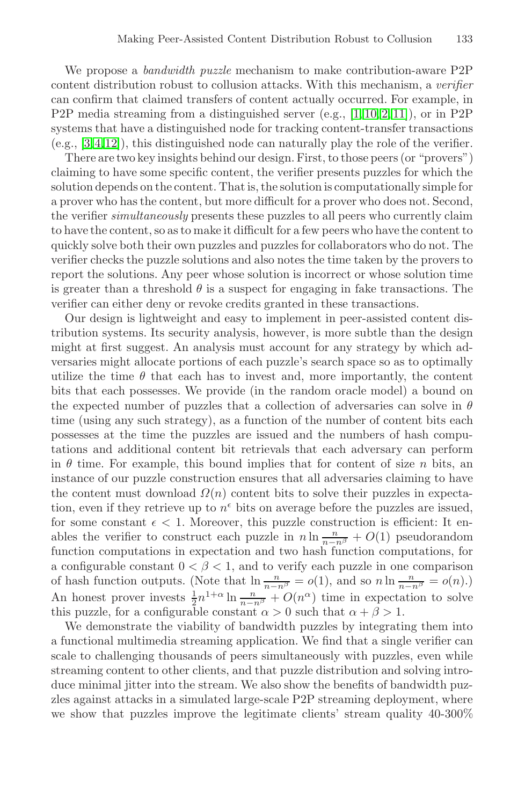We propose a *bandwidth puzzle* mechanism to make contribution-aware P2P content distribution robust to collusion attacks. With this mechanism, a *verifier* can confirm that claimed transfers of content actually occurred. For example, in P2P media streaming from a distinguished server (e.g., [1, 10, 2, 11]), or in P2P systems that have a distinguished node for tracking content-transfer transactions (e.g., [3,4,12]), this distinguished node can naturally play the role of the verifier.

There are two key insights behind our design. First, to those peers (or "provers") claiming to have some specific content, the verifier presents puzzles for which the solution depends on the content. That is, the solution is computationally simple for a prover who has the content, but more difficult for a prover who does not. Second, the verifier *simultaneously* presents these puzzles to all peers who currently claim to have the content, so as to make it difficult for a few peers who have the content to quickly solve both their own puzzles and puzzles for collaborators who do not. The verifier checks the puzzle solutions and also notes the time taken by the provers to report the solutions. Any peer whose solution is incorrect or whose solution time is greater than a threshold  $\theta$  is a suspect for engaging in fake transactions. The verifier can either deny or revoke credits granted in these transactions.

Our design is lightweight and easy to implement in peer-assisted content distribution systems. Its security analysis, however, is more subtle than the design might at first suggest. An analysis must account for any strategy by which adversaries might allocate portions of each puzzle's search space so as to optimally utilize the time  $\theta$  that each has to invest and, more importantly, the content bits that each possesses. We provide (in the random oracle model) a bound on the expected number of puzzles that a collection of adversaries can solve in  $\theta$ time (using any such strategy), as a function of the number of content bits each possesses at the time the puzzles are issued and the numbers of hash computations and additional content bit retrievals that each adversary can perform in  $\theta$  time. For example, this bound implies that for content of size n bits, an instance of our puzzle construction ensures that all adversaries claiming to have the content must download  $\Omega(n)$  content bits to solve their puzzles in expectation, even if they retrieve up to  $n^{\epsilon}$  bits on average before the puzzles are issued, for some constant  $\epsilon$  < 1. Moreover, this puzzle construction is efficient: It enables the verifier to construct each puzzle in  $n \ln \frac{n}{n-n^{\beta}} + O(1)$  pseudorandom function computations in expectation and two hash function computations, for a configurable constant  $0 < \beta < 1$ , and to verify each puzzle in one comparison of hash function outputs. (Note that  $\ln \frac{n}{n-n^{\beta}} = o(1)$ , and so  $n \ln \frac{n}{n-n^{\beta}} = o(n)$ .) An honest prover invests  $\frac{1}{2}n^{1+\alpha} \ln \frac{n}{n-n^{\beta}} + O(n^{\alpha})$  time in expectation to solve this puzzle, for a configurable constant  $\alpha > 0$  such that  $\alpha + \beta > 1$ .

We demonstrate the viability of bandwidth puzzles by integrating them into a functional multimedia streaming application. We find that a single verifier can scale to challenging thousands of peers simultaneously with puzzles, even while streaming content to other clients, and that puzzle distribution and solving introduce minimal jitter into the stream. We also show the benefits of bandwidth puzzles against attacks in a simulated large-scale P2P streaming deployment, where we show that puzzles improve the legitimate clients' stream quality 40-300%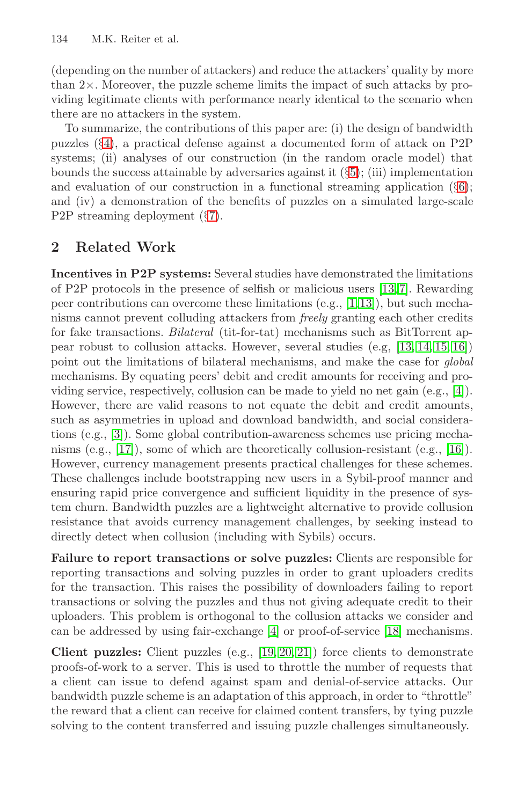(depending on the number of attacker[s\)](#page-7-0) and reduce the att[ack](#page-8-0)ers' quality by more than  $2\times$ . Moreover, the puzzle scheme limits the impact of such attacks by providing legi[tim](#page-11-0)ate clients with performance nearly identical to the scenario when there are no attackers in the system.

<span id="page-2-0"></span>To summarize, the contributions of this paper are: (i) the design of bandwidth puzzles (§4), a practical defense against a documented form of attack on P2P systems; (ii) analyses of our construction (in the random oracle model) that bounds the succes[s a](#page-14-7)ttainable by adversaries a[ga](#page-14-8)inst it  $(\S5)$ ; (iii) implementation and evaluation of our construction i[n](#page-14-0) [a f](#page-14-7)unctional streaming application (§6); and (iv) a demonstration of the benefits of puzzles on a simulated large-scale P2P streaming deployment (§7).

#### **2 Related Work**

**Incentives in P2P systems:** Several studies have demo[nst](#page-14-9)rated the limitations of P2P protocols in the presence of selfish or malicious users [13, 7]. Rewarding peer contributions can overcome these limitations (e.g., [1,13]), but such mechanisms cannot prevent colluding attackers from *freely* granting each other credits for fake transactions. *Bilateral* (tit-for-tat) mechanism[s su](#page-15-1)ch as BitTorrent appear robust to collusion attacks. However, several studies (e.g, [13, 14, 15, 16]) point out the limitations of bilateral mechanisms, and make the case for *global* mechanisms. By equating peers' debit and credit amounts for receiving and providing service, respectively, collusion can be made to yield no net gain (e.g., [4]). However, there are valid reasons to not equate the debit and credit amounts, such as asymmetries in upload and download bandwidth, and social considerations (e.g., [3]). Some global contribution-awareness schemes use pricing mechanisms (e.g., [17]), some of which are theoretically collusion-resistant (e.g., [16]). However, currency management presents practical challenges for these schemes. These challenges include bootstrapping new users in a Sybil-proof manner and ensuring rapid price convergence and sufficient liquidity in the presence of system churn. Bandwidth puzzles are a lightweight alternative to provide collusion resistance that avoids [c](#page-14-9)urrency manageme[nt](#page-15-2) [c](#page-15-2)hallenges, by seeking instead to directly detect whe[n co](#page-15-3)[llus](#page-15-4)[ion](#page-15-5) (including with Sybils) occurs.

**Failure to report transactions or solve puzzles:** Clients are responsible for reporting transactions and solving puzzles in order to grant uploaders credits for the transaction. This raises the possibility of downloaders failing to report transactions or solving the puzzles and thus not giving adequate credit to their uploaders. This problem is orthogonal to the collusion attacks we consider and can be addressed by using fair-exchange [4] or proof-of-service [18] mechanisms.

**Client puzzles:** Client puzzles (e.g., [19, 20, 21]) force clients to demonstrate proofs-of-work to a server. This is used to throttle the number of requests that a client can issue to defend against spam and denial-of-service attacks. Our bandwidth puzzle scheme is an adaptation of this approach, in order to "throttle" the reward that a client can receive for claimed content transfers, by tying puzzle solving to the content transferred and issuing puzzle challenges simultaneously.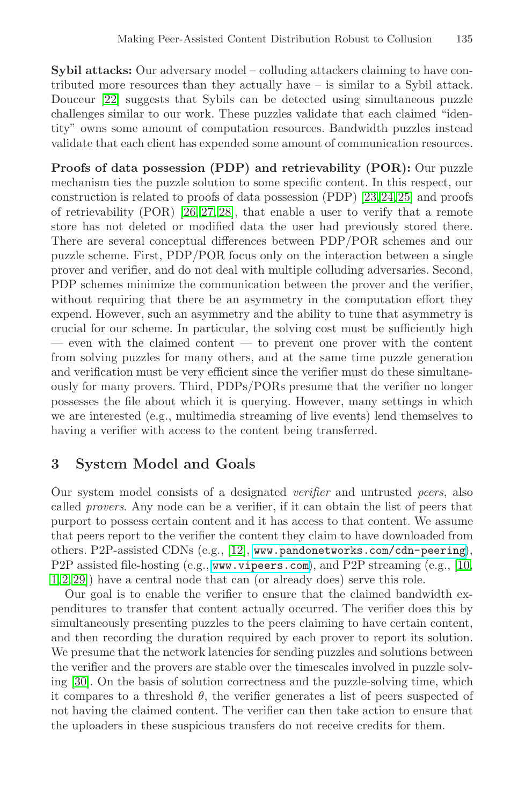**Sybil attacks:** Our adversary model – colluding attackers claiming to have contributed more resources than they actu[all](#page-15-6)[y h](#page-15-7)[ave](#page-15-8) – is similar to a Sybil attack. Douc[eur](#page-15-9) [\[22](#page-15-10)[\] su](#page-15-11)ggests that Sybils can be detected using simultaneous puzzle challenges similar to our work. These puzzles validate that each claimed "identity" owns some amount of computation resources. Bandwidth puzzles instead validate that each client has expended some amount of communication resources.

**Proofs of data possession (PDP) and retrievability (POR):** Our puzzle mechanism ties the puzzle solution to some specific content. In this respect, our construction is related to proofs of data possession (PDP) [23, 24, 25] and proofs of retrievability (POR) [26, 27, 28], that enable a user to verify that a remote store has not deleted or modified data the user had previously stored there. There are several conceptual differences between PDP/POR schemes and our puzzle scheme. First, PDP/POR focus only on the interaction between a single prover and verifier, and do not deal with multiple colluding adversaries. Second, PDP schemes minimize the communication between the prover and the verifier, without requiring that there be an asymmetry in the computation effort they expend. However, such an asymmetry and the ability to tune that asymmetry is crucial for our scheme. In particular, the solving cost must be sufficiently high — even with the claimed content — to prevent one prover with the content from solving puzzles for many others, and at the same time puzzle generation and verification must be very efficient since the verifier must do these simultaneously for many provers. Third, PDPs/PORs presume that the verifier no longer possesses the file about which it is querying. However, many settings in which we are interested (e.g., multimedia streaming of live events) lend themselves to having a verifi[er w](#page-14-10)[ith access to the content being transferre](www.pandonetworks.com/cdn-peering)d.

### <span id="page-3-0"></span>**3 Syst[em](www.vipeers.com) [Model](www.vipeers.com) [and](www.vipeers.com) Goals**

Our system model consists of a designated *verifier* and untrusted *peers*, also called *provers*. Any node can be a verifier, if it can obtain the list of peers that purport to possess certain content and it has access to that content. We assume that peers report to the verifier the content they claim to have downloaded from others. P2P-assisted CDNs (e.g., [12], www.pandonetworks.com/cdn-peering), P2P assisted file-hosting (e.g., www.vipeers.com), and P2P streaming (e.g., [10, 1, 2, 29]) have a central node that can (or already does) serve this role.

Our goal is to enable the verifier to ensure that the claimed bandwidth expenditures to transfer that content actually occurred. The verifier does this by simultaneously presenting puzzles to the peers claiming to have certain content, and then recording the duration required by each prover to report its solution. We presume that the network latencies for sending puzzles and solutions between the verifier and the provers are stable over the timescales involved in puzzle solving [30]. On the basis of solution correctness and the puzzle-solving time, which it compares to a threshold  $\theta$ , the verifier generates a list of peers suspected of not having the claimed content. The verifier can then take action to ensure that the uploaders in these suspicious transfers do not receive credits for them.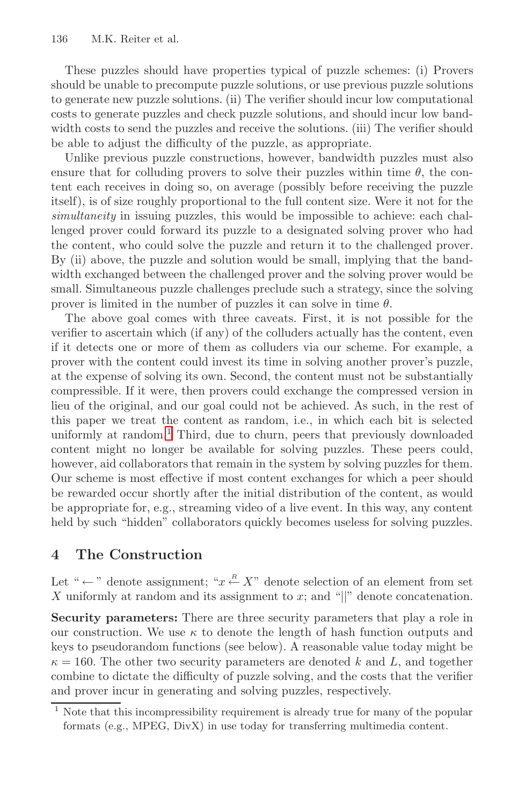These puzzles should have properties typical of puzzle schemes: (i) Provers should be unable to precompute puzzle solutions, or use previous puzzle solutions to generate new puzzle solutions. (ii) The verifier should incur low computational costs to generate puzzles and check puzzle solutions, and should incur low bandwidth costs to send the puzzles and receive the solutions. (iii) The verifier should be able to adjust the difficulty of the puzzle, as appropriate.

Unlike previous puzzle constructions, however, bandwidth puzzles must also ensure that for colluding provers to solve their puzzles within time  $\theta$ , the content each receives in doing so, on average (possibly before receiving the puzzle itself), is of size roughly proportional to the full content size. Were it not for the *simultaneity* in issuing puzzles, this would be impossible to achieve: each challenged prover could forward its puzzle to a designated solving prover who had the content, who could solve the puzzle and return it to the challenged prover. By (ii) above, the puzzle and solution would be small, implying that the bandwidth exchanged between the challenged prover and the solving prover would be small. Simultaneous puzzle challenges preclude such a strategy, since the solving prover is limited in the number of puzzles it can solve in time  $\theta$ .

[T](#page-4-0)he above goal comes with three caveats. First, it is not possible for the verifier to ascertain which (if any) of the colluders actually has the content, even if it detects one or more of them as colluders via our scheme. For example, a prover with the content could invest its time in solving another prover's puzzle, at the expense of solving its own. Second, the content must not be substantially compressible. If it were, then provers could exchange the compressed version in lieu of the original, and our goal could not be achieved. As such, in the rest of this paper we treat the content as random, i.e., in which each bit is selected uniformly at random.<sup>1</sup> Third, due to churn, peers that previously downloaded content might no longer be available for solving puzzles. These peers could, however, aid collaborators that remain in the system by solving puzzles for them. Our scheme is most effective if most content exchanges for which a peer should be rewarded occur shortly after the initial distribution of the content, as would be appropriate for, e.g., streaming video of a live event. In this way, any content held by such "hidden" collaborators quickly becomes useless for solving puzzles.

### **4 The Construction**

Let "  $\leftarrow$ " denote assignment; " $x \stackrel{R}{\leftarrow} X$ " denote selection of an element from set X uniformly at random and its assignment to x; and " $||$ " denote concatenation.

<span id="page-4-0"></span>**Security parameters:** There are three security parameters that play a role in our construction. We use  $\kappa$  to denote the length of hash function outputs and keys to pseudorandom functions (see below). A reasonable value today might be  $\kappa = 160$ . The other two security parameters are denoted k and L, and together combine to dictate the difficulty of puzzle solving, and the costs that the verifier and prover incur in generating and solving puzzles, respectively.

Note that this incompressibility requirement is already true for many of the popular formats (e.g., MPEG, DivX) in use today for transferring multimedia content.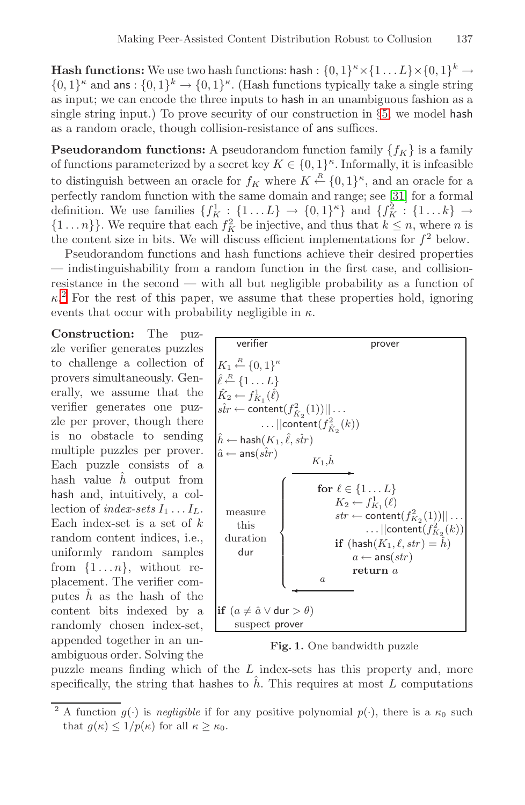**Hash functions:** We use two hash functions: hash :  $\{0,1\}^k \times \{1...L\} \times \{0,1\}^k \rightarrow$  $\{0,1\}^k$  and ans :  $\{0,1\}^k \rightarrow \{0,1\}^k$ . (Hash fun[ctio](#page-15-12)ns typically take a single string as input; we can encode the three inputs to hash in an unambiguous fashion as a single string input.) To prove security of our construction in §5, we model hash as a random oracle, though collision-resistance of ans suffices.

**Pseudorandom functions:** A pseudorandom function family  $\{f_K\}$  is a family of functions parameterized by a secret key  $K \in \{0,1\}^{\kappa}$ . Informally, it is infeasible to distinguish between an oracle for  $f_K$  where  $K \stackrel{R}{\leftarrow} \{0,1\}^{\kappa}$ , and an oracle for a perfectly random function with the same domain and range; see [31] for a formal definition. We use families  $\{f_K^1 : \{1...L\} \to \{0, 1\}^{\kappa}\}\$  and  $\{f_K^2 : \{1...k\} \to$  $\{1 \dots n\}$ . We require that each  $f_K^2$  be injective, and thus that  $k \leq n$ , where n is the content size in bits. We will discuss efficient implementations for  $f^2$  below.

Pseudorandom functions and hash functions achieve their desired properties — indistinguishability from a random function in the first case, and collisionresistance in the second — with all but negligible probability as a function of  $\kappa$ <sup>2</sup>. For the rest of this paper, we assume that these properties hold, ignoring events that occur with probability negligible in  $\kappa$ .

**Construction:** The puzzle verifier generates puzzles to challenge a collection of provers simultaneously. Generally, we assume that the verifier generates one puzzle per prover, though there is no obstacle to sending multiple puzzles per prover. Each puzzle consists of a hash value  $\hat{h}$  output from hash and, intuitively, a collection of *index-sets*  $I_1 \ldots I_L$ . Each index-set is a set of  $k$ random content indices, i.e., uniformly random samples from  $\{1 \dots n\}$ , without replacement. The verifier computes  $\hat{h}$  as the hash of the content bits indexed by a randomly chosen index-set, appended together in an unambiguous order. Solving the



<span id="page-5-0"></span>**Fig. 1.** One bandwidth puzzle

puzzle means finding which of the L index-sets has this property and, more specifically, the string that hashes to  $\hat{h}$ . This requires at most L computations

A function  $q(\cdot)$  is *negligible* if for any positive polynomial  $p(\cdot)$ , there is a  $\kappa_0$  such that  $g(\kappa) \leq 1/p(\kappa)$  for all  $\kappa \geq \kappa_0$ .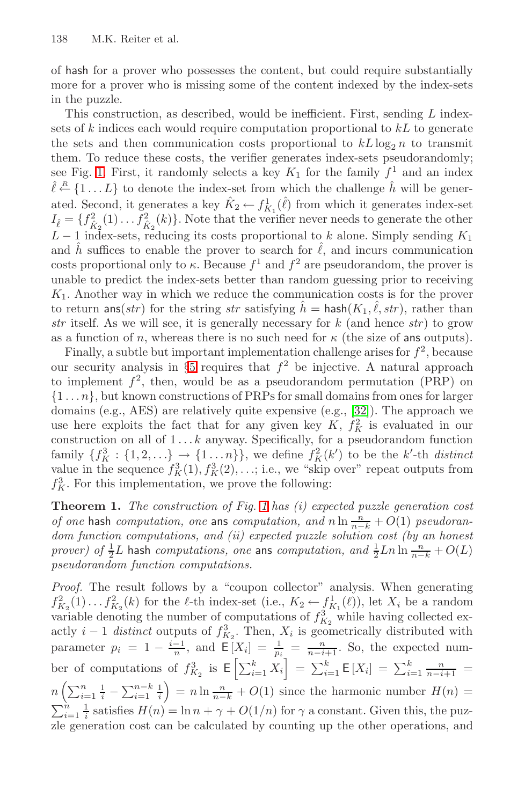of hash for a prover who possesses the content, but could require substantially more for a prover who is missing some of the content indexed by the index-sets in the puzzle.

This construction, as described, would be inefficient. First, sending  $L$  indexsets of k indices each would require computation proportional to  $kL$  to generate the sets and then communication costs proportional to  $kL \log_2 n$  to transmit them. To reduce these costs, the verifier generates index-sets pseudorandomly; see Fig. 1. First, it randomly selects a key  $K_1$  for the family  $f^1$  and an index  $\hat{\ell} \stackrel{R}{\leftarrow} \{1 \dots L\}$  to denote the index-set from which the challenge  $\hat{h}$  will be generated. Second, it generates a key  $\hat{K}_2 \leftarrow f_{K_1}^1(\hat{\ell})$  from which it generates index-set  $I_{\hat{\ell}} = \{f_{\hat{K}_2}^2(1) \dots f_{\hat{K}_2}^2(k)\}\.$  Note that the verifier never needs to generate the other  $L-1$  index-sets, reducing its costs proportional to k alone. Simply sending  $K_1$ and h [su](#page-7-0)ffices to enable the prover to search for  $\hat{\ell}$ , and incurs communication costs proportional only to  $\kappa$ . Because  $f^1$  and  $f^2$  are pseudorandom, the prover is unable to predict the index-sets better than random guessing prior to receiving  $K_1$ . Another way in which we reduce [the](#page-15-13) communication costs is for the prover to return ans $(str)$  for the string *str* satisfying  $\hat{h} = \text{hash}(K_1, \hat{\ell}, str)$ , rather than *str* itself. As we will see, it is generally necessary for k (and hence *str*) to grow as a function of n, whereas there is no such need for  $\kappa$  (the size of ans outputs).

Finally, a subtle but important implementation challenge arises for  $f^2$ , because our security analysis in §5 requires that  $f^2$  be injective. A natural approach to implement  $f^2$ , then, would be as a pseudorandom permutation (PRP) on  $\{1 \ldots n\}$ , but known [co](#page-5-0)nstructions of PRPs for small domains from ones for larger domains (e.g., AES) are relatively quite expensive (e.g., [32]). The approach we use here exploits the fact that for any given key  $K, f_K^2$  is evaluated in our construction on all of  $1 \dots k$  anyway. Specifically, for a pseudorandom function family  $\{f_K^3 : \{1, 2, ...\} \to \{1, \ldots n\}\}\$ , we define  $f_K^2(k')$  to be the k'-th *distinct* value in the sequence  $f_K^3(1), f_K^3(2), \ldots$ ; i.e., we "skip over" repeat outputs from  $f_K^3$ . For this implementation, we prove the following:

**Theorem 1.** *The construction of Fig. 1 has (i) expected puzzle generation cost of one* hash *computation, one* ans *computation, and*  $n \ln \frac{n}{n-k} + O(1)$  *pseudorandom function computations, and (ii) expected puzzle solution cost (by an honest prover*) of  $\frac{1}{2}L$  hash *computations, one* ans *computation, and*  $\frac{1}{2}Ln \ln \frac{n}{n-k} + O(L)$ *pseudorandom function computations.*

*Proof.* The result follows by a "coupon collector" analysis. When generating  $f_{K_2}^2(1)\dots f_{K_2}^2(k)$  for the  $\ell$ -th index-set (i.e.,  $K_2 \leftarrow f_{K_1}^1(\ell)$ ), let  $X_i$  be a random variable denoting the number of computations of  $f_{K_2}^3$  while having collected exactly  $i-1$  *distinct* outputs of  $f_{K_2}^3$ . Then,  $X_i$  is geometrically distributed with parameter  $p_i = 1 - \frac{i-1}{n}$ , and  $\mathsf{E}[X_i] = \frac{1}{p_i} = \frac{n}{n-i+1}$ . So, the expected number of computations of  $f_{K_2}^3$  is  $\mathsf{E}\left[\sum_{i=1}^k X_i\right] = \sum_{i=1}^k \mathsf{E}[X_i] = \sum_{i=1}^k \frac{n}{n-i+1} =$  $n\left(\sum_{i=1}^n \frac{1}{i} - \sum_{i=1}^{n-k} \frac{1}{i}\right) = n \ln \frac{n}{n-k} + O(1)$  since the harmonic number  $H(n) =$  $\sum_{i=1}^{n} \frac{1}{i}$  satisfies  $H(n) = \ln n + \gamma + O(1/n)$  for  $\gamma$  a constant. Given this, the puzzle generation cost can be calculated by counting up the other operations, and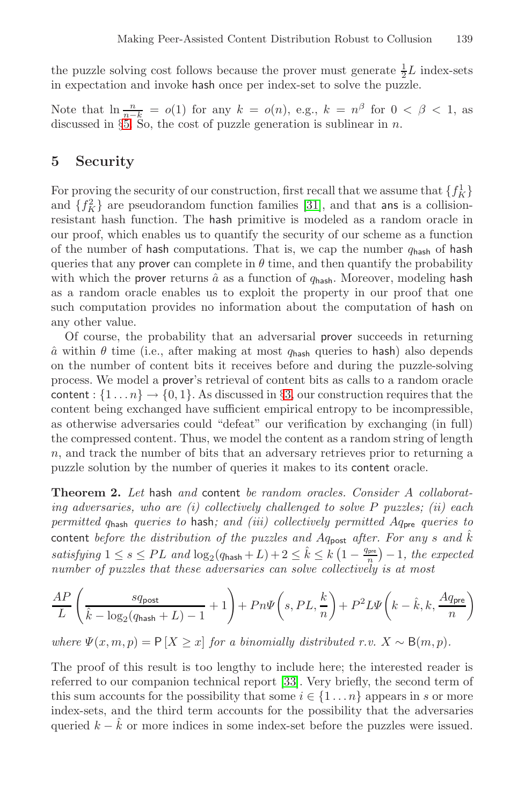<span id="page-7-0"></span>the puzzle solving cost follows because the prover must generate  $\frac{1}{2}L$  index-sets in expectation and invoke ha[sh](#page-15-12) once per index-set to solve the puzzle.

Note that  $\ln \frac{n}{n-k} = o(1)$  for any  $k = o(n)$ , e.g.,  $k = n^{\beta}$  for  $0 < \beta < 1$ , as discussed in  $\S$ . So, the cost of puzzle generation is sublinear in n.

### **5 Security**

For proving the security of our construction, first recall that we assume that  $\{f^1_K\}$ and  $\{f_K^2\}$  are pseudorandom function families [31], and that ans is a collisionresistant hash function. The hash primitive is modeled as a random oracle in our proof, which enables us to quantify the security of our scheme as a function of the number of hash computations. That is, we cap the number  $q_{\text{hash}}$  of hash queries that any prover can complete in  $\theta$  time, and then quantify the probability with which the prover re[tur](#page-3-0)ns  $\hat{a}$  as a function of  $q_{\text{hash}}$ . Moreover, modeling hash as a random oracle enables us to exploit the property in our proof that one such computation provides no information about the computation of hash on any other value.

<span id="page-7-1"></span>Of course, the probability that an adversarial prover succeeds in returning  $\hat{a}$  within  $\theta$  time (i.e., after making at most  $q_{\text{hash}}$  queries to hash) also depends on the number of content bits it receives before and during the puzzle-solving process. We model a prover's retrieval of content bits as calls to a random oracle content :  $\{1 \dots n\} \rightarrow \{0, 1\}$ . As discussed in §3, our construction requires that the content being exchanged have sufficient empirical entropy to be incompressible, as otherwise adversaries could "defeat" our verification by exchanging (in full) the compressed content. Thus, we model the content as a random string of length  $n$ , and track the number of bits that an adversary retrieves prior to returning a puzzle solution by the number of queries it makes to its content oracle.

**Theorem 2.** *Let* hash *and* content *be random oracles. Consider* A *collaborating adversaries, who are (i) collectively challenged to solve* P *puzzles; (ii) each permitted* qhash *queries to* hash*; and (iii) collectively permitted* Aqpre *queries to* content *before the distribution of the puzzles and Aq<sub>post</sub> after. For any* s and  $\hat{k}$ *satisfying*  $1 \leq s \leq PL$  *and*  $\log_2(q_{\text{hash}} + L) + 2 \leq \hat{k} \leq k(1 - \frac{q_{\text{pre}}}{n}) - 1$ , the expected *number of puzzles that t[hese](#page-15-14) adversaries can solve collectively is at most*

$$
\frac{AP}{L}\left(\frac{sq_{\text{post}}}{\hat{k}-\log_2(q_{\text{hash}}+L)-1}+1\right)+Pn\Psi\left(s,PL,\frac{k}{n}\right)+P^2L\Psi\left(k-\hat{k},k,\frac{Aq_{\text{pre}}}{n}\right)
$$

*where*  $\Psi(x, m, p) = P[X \geq x]$  *for a binomially distributed r.v.*  $X \sim B(m, p)$ *.* 

The proof of this result is too lengthy to include here; the interested reader is referred to our companion technical report [33]. Very briefly, the second term of this sum accounts for the possibility that some  $i \in \{1 \dots n\}$  appears in s or more index-sets, and the third term accounts for the possibility that the adversaries queried  $k - \hat{k}$  or more indices in some index-set before the puzzles were issued.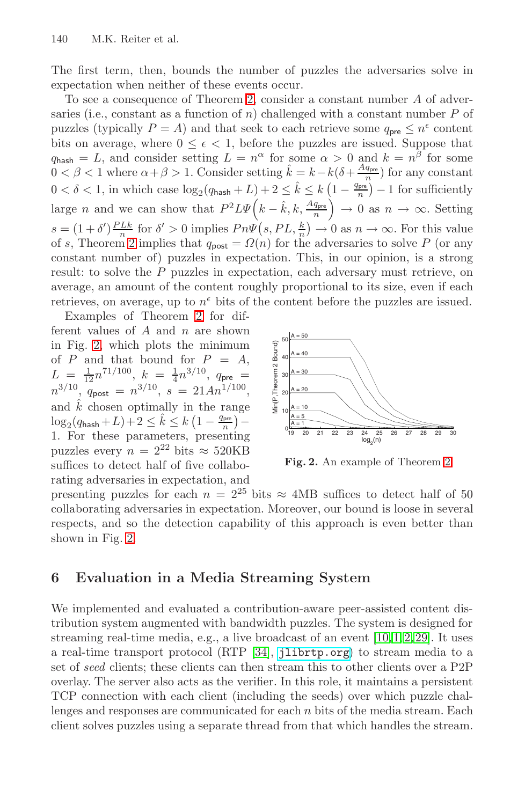The first term, then, bounds the number of puzzles the adversaries solve in expectation when neither of these events occur.

To see a consequence of Theorem 2, consider a constant number A of adversaries (i.e., constant as a function of n) challenged with a constant number  $P$  of puzzles (typically  $P = A$ ) and that seek to each retrieve some  $q_{pre} \leq n^{\epsilon}$  content bits on average, where  $0 \leq \epsilon < 1$ , before the puzzles are issued. Suppose that  $q_{\text{hash}} = L$ , and consider setting  $L = n^{\alpha}$  for some  $\alpha > 0$  and  $k = n^{\beta}$  for some  $0 < \beta < 1$  where  $\alpha + \beta > 1$ . Consider setting  $\hat{k} = k - k(\delta + \frac{Aq_{pre}}{n})$  for any constant  $0 < \delta < 1$ , in which case  $\log_2(q_{\text{hash}} + L) + 2 \leq \hat{k} \leq k \left(1 - \frac{q_{\text{pre}}}{n}\right) - 1$  for sufficiently large *n* [an](#page-7-1)d we can show that  $P^2 L \Psi\left(k - \hat{k}, k, \frac{Aq_{\text{pre}}}{n}\right) \to 0$  as  $n \to \infty$ . Setting  $s = (1 + \delta') \frac{PLk}{n}$  for  $\delta' > 0$  implies  $Pn\Psi(s, PL, \frac{k}{n}) \to 0$  as  $n \to \infty$ . For this value of s, Theorem 2 implies that  $q_{\text{post}} = \Omega(n)$  for the adversaries to solve P (or any constant number of) puzzles in expectation. This, in our opinion, is a strong result: to solve the P puzzles in expectation, each adversary must retrieve, on average, an amount of the content roughly proportional to its size, even if each retrieves, on average, up to  $n^{\epsilon}$  bits of the content before the puzzles are issued.

Examples of Theorem 2 for different values of  $A$  and  $n$  are shown in Fig. 2, which plots the minimum of  $P$  and that bound for  $P = A$ ,  $L = \frac{1}{12} n^{71/100}, k = \frac{1}{4} n^{3/10}, q_{\text{pre}} =$  $n^{3/10}$ ,  $q_{\text{post}} = n^{3/10}$ ,  $s = 21An^{1/100}$ , and  $\hat{k}$  chosen optimally in the range  $\log_2(q_{\mathsf{hash}}+L)+2 \leq \hat{k} \leq k \left(1-\frac{q_{\mathsf{pre}}}{n}\right) -$ 1. For these parameters, presenting puzzles every  $n = 2^{22}$  bits  $\approx 520 \text{KB}$ suffices to detect half of five collaborating adversaries in expectation, and

<span id="page-8-1"></span>

**Fig. 2.** An example of Theorem 2

<span id="page-8-0"></span>presenting puzzles for each  $n = 2^{25}$  bits  $\approx 4MB$  suffices to detect half of 50 collaborating adversaries in expectation. Moreover, our bound is loose in several respects, and so the detection capability [of](#page-14-11) [th](#page-14-0)[is](#page-14-1) [ap](#page-15-15)proach is even better than shown in Fig. 2.

# **6 Evaluation in a Media Streaming System**

We implemented and evaluated a contribution-aware peer-assisted content distribution system augmented with bandwidth puzzles. The system is designed for streaming real-time media, e.g., a live broadcast of an event  $[10, 1, 2, 29]$ . It uses a real-time transport protocol (RTP [34], jlibrtp.org) to stream media to a set of *seed* clients; these clients can then stream this to other clients over a P2P overlay. The server also acts as the verifier. In this role, it maintains a persistent TCP connection with each client (including the seeds) over which puzzle challenges and responses are communicated for each  $n$  bits of the media stream. Each client solves puzzles using a separate thread from that which handles the stream.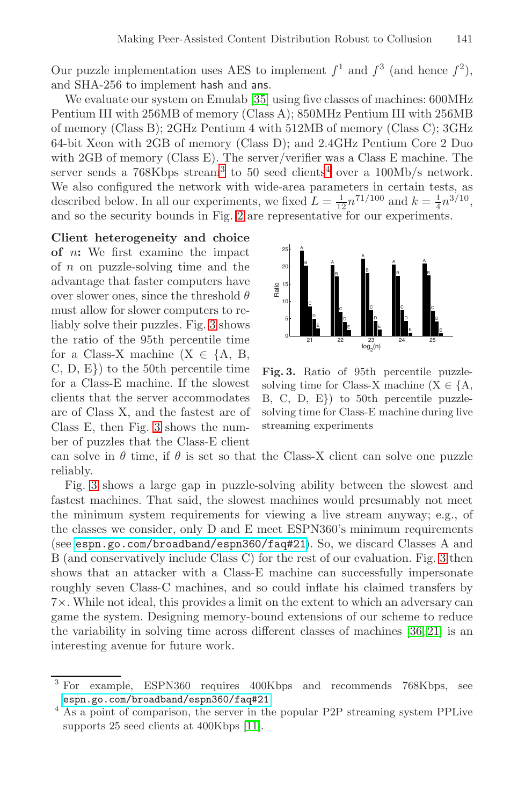Our puzzle i[m](#page-9-0)plementation uses [A](#page-9-1)ES to implement  $f^1$  and  $f^3$  (and hence  $f^2$ ), and SHA-256 to implement hash and ans.

We evaluate [ou](#page-8-1)r system on Emulab [35] using five classes of machines: 600MHz Pentium III with 256MB of memory (Class A); 850MHz Pentium III with 256MB of memory (Class B); 2GHz Pentium 4 with 512MB of memory (Class C); 3GHz 64-bit Xeon with 2GB of memory (Class D); and 2.4GHz Pentium Core 2 Duo with 2GB of memory (Class E). The server/verifier was a Class E machine. The server sends a  $768Kb$ ps stream<sup>3</sup> to 50 seed clients<sup>4</sup> over a  $100Mb/s$  network. We also configured the network with wide-area parameters in certain tests, as described below. In all our experiments, we fixed  $L = \frac{1}{12} n^{71/100}$  and  $k = \frac{1}{4} n^{3/10}$ , and so the [se](#page-9-2)curity bounds in Fig. 2 are representative for our experiments.

### **Client heterogeneity and choice**

**of** n**:** We first examine the impact of  $n$  on puzzle-solving time and the advantage that faster computers have over slower ones, since the threshold  $\theta$ [m](#page-9-2)ust allow for slower computers to reliably solve their puzzles. Fig. 3 shows the ratio of the 95th percentile time for a Class-X machine  $(X \in \{A, B, \ldots\})$ C, D, E}) to the 50th percentile time for a Class-E machine. If the slowest clients that the server accommodates are of Class X, and the fastest are of [Class E, then Fig. 3 shows th](espn.go.com/broadband/espn360/faq#21)e number of puzzles that the Class-E client

<span id="page-9-2"></span>

**Fig. 3.** Ratio of 95th percentile puzzlesolving time for Class-X machine  $(X \in \{A, \}$ B, C, D, E}) to 50th percentile puzzlesolving time for Class-E machine during live streaming experiments

can solve in  $\theta$  time, if  $\theta$  is set so that the Class-X c[lie](#page-9-2)nt can solve one puzzle reliably.

<span id="page-9-0"></span>Fig. 3 shows a large gap in puzzle-solving ability between the slowest and fastest machines. That said, the slowest machines would presumably not meet the minimum system requirements for viewing [a](#page-15-16) [live](#page-15-5) stream anyway; e.g., of the classes we consider, only D and E meet ESPN360's minimum requirements (see espn.go.com/broadband/espn360/faq#21). So, we discard Classes A and B (and conservatively include Class C) for the rest of our evaluation. Fig. 3 then shows that an attacker with a Class-E machine can successfully impersonate [roughly seven Class-C](espn.go.com/broadband/espn360/faq#21) machines, and so could inflate his claimed transfers by 7×. While not ideal, this provides a limit on the extent to which an adversary can game the system. [De](#page-14-12)signing memory-bound extensions of our scheme to reduce the variability in solving time across different classes of machines [36, 21] is an interesting avenue for future work.

<span id="page-9-1"></span><sup>&</sup>lt;sup>3</sup> For example, ESPN360 requires 400Kbps and recommends 768Kbps, see espn.go.com/broadband/espn360/faq#21

<sup>&</sup>lt;sup>4</sup> As a point of comparison, the server in the popular P2P streaming system PPLive supports 25 seed clients at 400Kbps [11].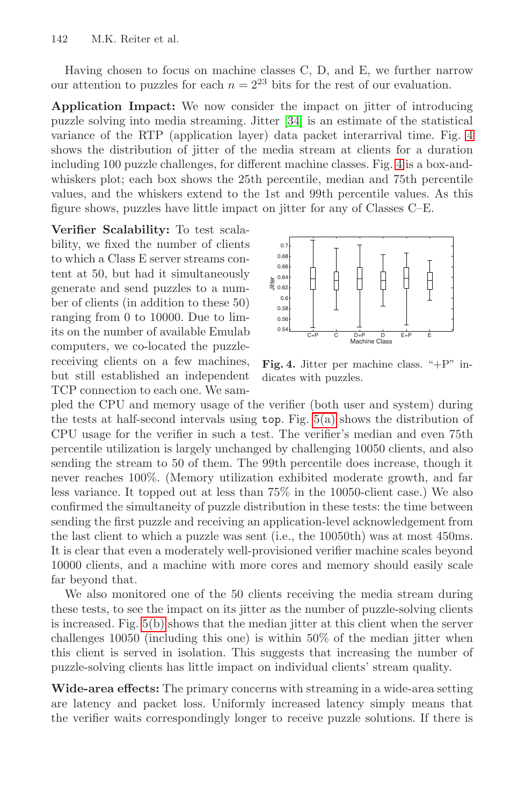Having chosen to focus on machine classes C, D, and E, we further narrow our attention to puzzles for each  $n = 2^{23}$  bits for the rest of our evaluation.

**Application Impact:** We now consider the impact on jitter of introducing puzzle solving into media streaming. Jitter [34] is an estimate of the statistical variance of the RTP (application layer) data packet interarrival time. Fig. 4 shows the distribution of jitter of the media stream at clients for a duration including 100 puzzle challenges, for different machine classes. Fig. 4 is a box-andwhiskers plot; each box shows the 25th percentile, median and 75th percentile values, and the whiskers extend to the 1st and 99th percentile values. As this figure shows, puzzles have little impact on jitter for any of Classes C–E.

**Verifier Scalability:** To test scalability, we fixed the number of clients to which a Class E server streams content at 50, but had it simultaneously generate and send puzzles to a number of clients (in addition to t[hese 5](#page-11-1)0) ranging from 0 to 10000. Due to limits on the number of available Emulab computers, we co-located the puzzlereceiving clients on a few machines, but still established an independent TCP connection to each one. We sam-



Fig. 4. Jitter per machine class. "+P" indicates with puzzles.

pled the CPU and memory usage of the verifier (both user and system) during the tests at half-second intervals using top. Fig. 5(a) shows the distribution of CPU usage for the verifier in such a test. The verifier's median and even 75th percentile utilization is largely unchanged by challenging 10050 clients, and also sending the stream to 50 of them. The 99th percentile does increase, though it never reaches 100%. (Memory utilization exhibited moderate growth, and far less variance. It topped out at less than 75% in the 10050-client case.) We also [con](#page-11-2)firmed the simultaneity of puzzle distribution in these tests: the time between sending the first puzzle and receiving an application-level acknowledgement from the last client to which a puzzle was sent (i.e., the 10050th) was at most 450ms. It is clear that even a moderately well-provisioned verifier machine scales beyond 10000 clients, and a machine with more cores and memory should easily scale far beyond that.

We also monitored one of the 50 clients receiving the media stream during these tests, to see the impact on its jitter as the number of puzzle-solving clients is increased. Fig. 5(b) shows that the median jitter at this client when the server challenges 10050 (including this one) is within 50% of the median jitter when this client is served in isolation. This suggests that increasing the number of puzzle-solving clients has little impact on individual clients' stream quality.

**Wide-area effects:** The primary concerns with streaming in a wide-area setting are latency and packet loss. Uniformly increased latency simply means that the verifier waits correspondingly longer to receive puzzle solutions. If there is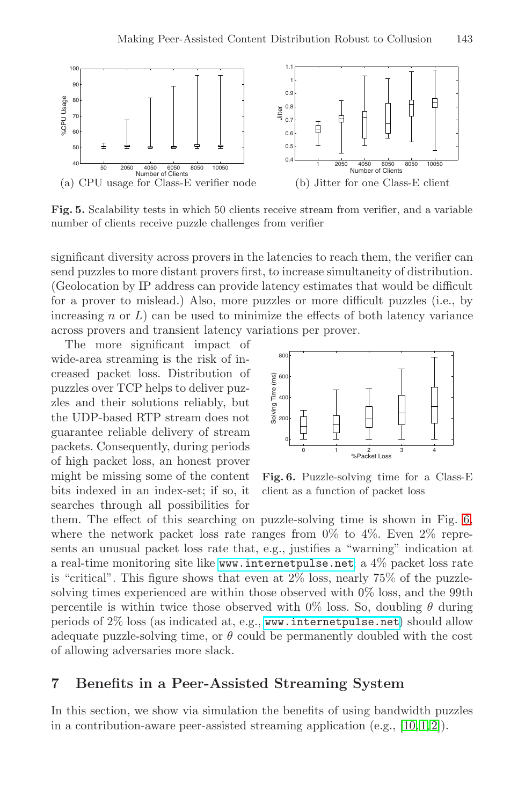<span id="page-11-2"></span><span id="page-11-1"></span>

**Fig. 5.** Scalability tests in which 50 clients receive stream from verifier, and a variable number of clients receive puzzle challenges from verifier

significant diversity across provers in the latencies to reach them, the verifier can send puzzles to more distant provers first, to increase simultaneity of distribution. (Geolocation by IP address can provide latency estimates that would be difficult for a prover to mislead.) Also, more puzzles or more difficult puzzles (i.e., by increasing n or  $L$ ) can be used to minimize the effects of both latency variance across provers and transient latency variations per prover.

The more significant impact of wide-area streaming is the risk of increased packet loss. Distribution of puzzles over TCP helps to deliver puzzles and their solutions reliably, but the UDP-based RTP stream does not guarantee reliable delivery of stream packets. Co[nsequently, during periods](www.internetpulse.net) of high packet loss, an honest prover might be missing some of the content bits indexed in an index-set; if so, it searches through all [possibilities for](www.internetpulse.net)



**Fig. 6.** Puzzle-solving time for a Class-E client as a function of packet loss

<span id="page-11-0"></span>them. The effect of this searching on puzzle-solving time is shown in Fig. 6, where the network packet loss rate ranges from 0% to 4%. Even 2% represents an unusual packet loss rate that, e.g., justifies a "warning" indication at a real-time monitoring site like www.internetpulse.net; a 4% packet loss rate is "critical". This figure shows that even at 2% loss, nearly 75% of the puzzlesolving times experienced are within those observed with 0% loss, and the 99th percentile is within twice th[os](#page-14-1)e observed with  $0\%$  [l](#page-14-0)oss. So, doubling  $\theta$  during periods of 2% loss (as indicated at, e.g., www.internetpulse.net) should allow adequate puzzle-solving time, or  $\theta$  could be permanently doubled with the cost of allowing adversaries more slack.

# **7 Benefits in a Peer-Assisted Streaming System**

In this section, we show via simulation the benefits of using bandwidth puzzles in a contribution-aware peer-assisted streaming application (e.g., [10, 1, 2]).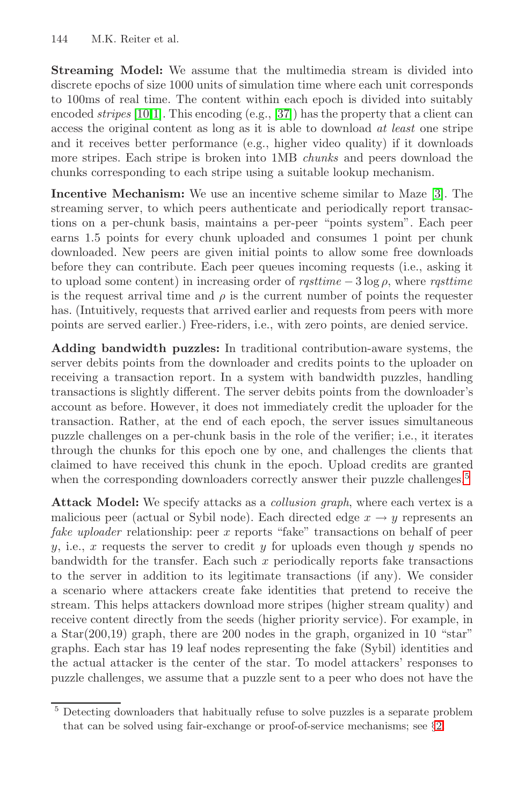**Streaming Model:** We assume that the multimedia stream is divided into discrete epochs of size 1000 units of simulation time [whe](#page-14-2)re each unit corresponds to 100ms of real time. The content within each epoch is divided into suitably encoded *stripes* [10,1]. This encoding (e.g., [37]) has the property that a client can access the original content as long as it is able to download *at least* one stripe and it receives better performance (e.g., higher video quality) if it downloads more stripes. Each stripe is broken into 1MB *chunks* and peers download the chunks corresponding to each stripe using a suitable lookup mechanism.

**Incentive Mechanism:** We use an incentive scheme similar to Maze [3]. The streaming server, to which peers authenticate and periodically report transactions on a per-chunk basis, maintains a per-peer "points system". Each peer earns 1.5 points for every chunk uploaded and consumes 1 point per chunk downloaded. New peers are given initial points to allow some free downloads before they can contribute. Each peer queues incoming requests (i.e., asking it to upload some content) in increasing order of  $\eta$ stime  $-3 \log \rho$ , where  $\eta$ stime is the request arrival time and  $\rho$  is the current number of points the requester has. (Intuitively, requests that arrived earlier and requests from peers with more points are served earlier.) Free-riders, i.e., with zero points, are denied service.

**Adding bandwidth puzzles:** In traditional contribution-aware systems, the server debits points from the downloader and credits poin[ts](#page-12-0) to the uploader on receiving a transaction report. In a system with bandwidth puzzles, handling transactions is slightly different. The server debits points from the downloader's account as before. However, it does not immediately credit the uploader for the transaction. Rather, at the end of each epoch, the server issues simultaneous puzzle challenges on a per-chunk basis in the role of the verifier; i.e., it iterates through the chunks for this epoch one by one, and challenges the clients that claimed to have received this chunk in the epoch. Upload credits are granted when the corresponding downloaders correctly answer their puzzle challenges.<sup>5</sup>

**Attack Model:** We specify attacks as a *collusion graph*, where each vertex is a malicious peer (actual or Sybil node). Each directed edge  $x \to y$  represents an *fake uploader* relationship: peer x reports "fake" transactions on behalf of peer  $y$ , i.e., x requests the server to credit y for uploads even though y spends no bandwidth for the transfer. Each such  $x$  periodically reports fake transactions to the server in addition to its legitimate transactions (if any). We consider a scenario where attackers create fake identities that pretend to receive the stream. This helps attackers download more stripes (higher stream quality) and receive content directly from the seeds (higher priorit[y](#page-2-0) service). For example, in a  $Star(200.19)$  graph, there are 200 nodes in the graph, organized in 10 "star" graphs. Each star has 19 leaf nodes representing the fake (Sybil) identities and the actual attacker is the center of the star. To model attackers' responses to puzzle challenges, we assume that a puzzle sent to a peer who does not have the

<span id="page-12-0"></span><sup>5</sup> Detecting downloaders that habitually refuse to solve puzzles is a separate problem that can be solved using fair-exchange or proof-of-service mechanisms; see §2.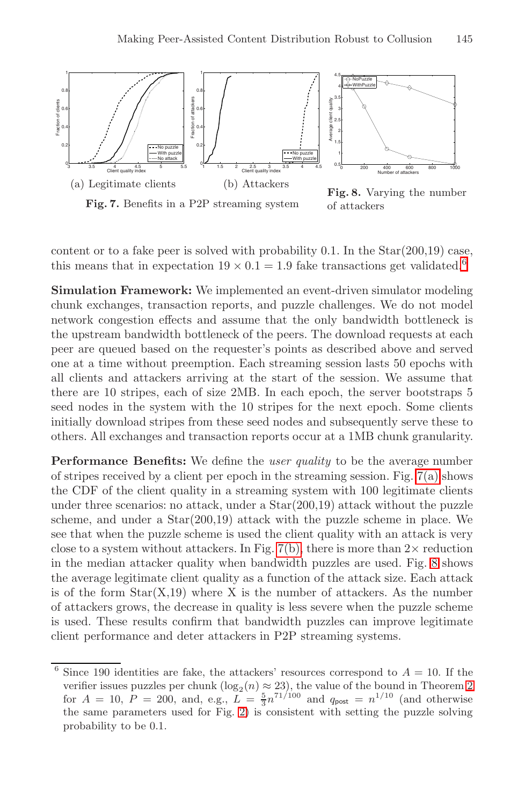<span id="page-13-2"></span><span id="page-13-1"></span><span id="page-13-0"></span>

content or to a fake peer is solved with probability  $0.1$ . In the  $Star(200.19)$  case, this means that in expectation  $19 \times 0.1 = 1.9$  fake transactions get validated.<sup>6</sup>

**Simulation Framework:** We implemented an event-driven simulator modeling chunk exchanges, transaction reports, and puzzle challenges. We do not model network congestion effects and assume that the only bandwidth bottleneck is the upstream bandwidth bottleneck of the peers. The download requests at each peer are queued based on the requester's points as described above and served one at a time without preemption. Each streami[ng ses](#page-13-0)sion lasts 50 epochs with all clients and attackers arriving at the start of the session. We assume that there are 10 stripes, each of size 2MB. In each epoch, the server bootstraps 5 seed nodes in the system with the 10 stripes for the next epoch. Some clients initially download stripes from these seed nodes and subsequently serve these to others. All exchanges a[nd tra](#page-13-1)nsaction reports occur at a 1MB chunk granularity.

**Performance Benefits:** We define the *user quality* [t](#page-13-2)o be the average number of stripes received by a client per epoch in the streaming session. Fig. 7(a) shows the CDF of the client quality in a streaming system with 100 legitimate clients under three scenarios: no attack, under a  $Star(200,19)$  attack without the puzzle scheme, and under a Star(200,19) attack with the puzzle scheme in place. We see that when the puzzle scheme is used the client quality with an attack is very close to a system without attackers. In Fig. 7(b), there is more than  $2\times$  reduction in the median attacker quality when bandwidth puzzles are used. Fig. 8 shows the average legitimate client quality as a function of the att[ac](#page-7-1)k size. Each attack is of the form  $Star(X,19)$  $Star(X,19)$  $Star(X,19)$  where X is the number of attackers. As the number of attackers grows, the decrease in quality is less severe when the puzzle scheme is used. These results confirm that bandwidth puzzles can improve legitimate client performance and deter attackers in P2P streaming systems.

<sup>&</sup>lt;sup>6</sup> Since 190 identities are fake, the attackers' resources correspond to  $A = 10$ . If the verifier issues puzzles per chunk  $(\log_2(n) \approx 23)$ , the value of the bound in Theorem 2 verifier issues puzzles per chunk  $(\log_2(n) \approx 23)$ , the value of the bound in Theorem 2<br>for  $A = 10$ ,  $P = 200$ , and  $\rho g = I = \frac{5}{2}n^{71/100}$  and  $g = \pi^{1/10}$  (and otherwise for  $A = 10$ ,  $P = 200$ , and, e.g.,  $L = \frac{5}{3}n^{71/100}$  and  $q_{\text{post}} = n^{1/10}$  (and otherwise the same parameters used for Fig. 2) is consistent with setting the puzzle solving probability to be 0.1.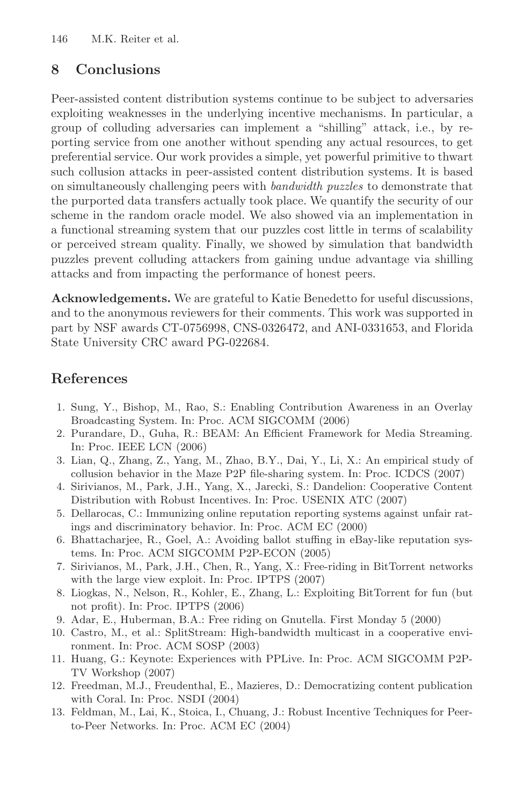# **8 Conclusions**

Peer-assisted content distribution systems continue to be subject to adversaries exploiting weaknesses in the underlying incentive mechanisms. In particular, a group of colluding adversaries can implement a "shilling" attack, i.e., by reporting service from one another without spending any actual resources, to get preferential service. Our work provides a simple, yet powerful primitive to thwart such collusion attacks in peer-assisted content distribution systems. It is based on simultaneously challenging peers with *bandwidth puzzles* to demonstrate that the purported data transfers actually took place. We quantify the security of our scheme in the random oracle model. We also showed via an implementation in a functional streaming system that our puzzles cost little in terms of scalability or perceived stream quality. Finally, we showed by simulation that bandwidth puzzles prevent colluding attackers from gaining undue advantage via shilling attacks and from impacting the performance of honest peers.

**Acknowledgements.** We are grateful to Katie Benedetto for useful discussions, and to the anonymous reviewers for their comments. This work was supported in part by NSF awards CT-0756998, CNS-0326472, and ANI-0331653, and Florida State University CRC award PG-022684.

# **References**

- <span id="page-14-0"></span>1. Sung, Y., Bishop, M., Rao, S.: Enabling Contribution Awareness in an Overlay Broadcasting System. In: Proc. ACM SIGCOMM (2006)
- <span id="page-14-1"></span>2. Purandare, D., Guha, R.: BEAM: An Efficient Framework for Media Streaming. In: Proc. IEEE LCN (2006)
- <span id="page-14-2"></span>3. Lian, Q., Zhang, Z., Yang, M., Zhao, B.Y., Dai, Y., Li, X.: An empirical study of collusion behavior in the Maze P2P file-sharing system. In: Proc. ICDCS (2007)
- <span id="page-14-9"></span>4. Sirivianos, M., Park, J.H., Yang, X., Jarecki, S.: Dandelion: Cooperative Content Distribution with Robust Incentives. In: Proc. USENIX ATC (2007)
- <span id="page-14-3"></span>5. Dellarocas, C.: Immunizing online reputation reporting systems against unfair ratings and discriminatory behavior. In: Proc. ACM EC (2000)
- <span id="page-14-4"></span>6. Bhattacharjee, R., Goel, A.: Avoiding ballot stuffing in eBay-like reputation systems. In: Proc. ACM SIGCOMM P2P-ECON (2005)
- <span id="page-14-8"></span>7. Sirivianos, M., Park, J.H., Chen, R., Yang, X.: Free-riding in BitTorrent networks with the large view exploit. In: Proc. IPTPS (2007)
- <span id="page-14-5"></span>8. Liogkas, N., Nelson, R., Kohler, E., Zhang, L.: Exploiting BitTorrent for fun (but not profit). In: Proc. IPTPS (2006)
- <span id="page-14-11"></span><span id="page-14-6"></span>9. Adar, E., Huberman, B.A.: Free riding on Gnutella. First Monday 5 (2000)
- 10. Castro, M., et al.: SplitStream: High-bandwidth multicast in a cooperative environment. In: Proc. ACM SOSP (2003)
- <span id="page-14-12"></span>11. Huang, G.: Keynote: Experiences with PPLive. In: Proc. ACM SIGCOMM P2P-TV Workshop (2007)
- <span id="page-14-10"></span>12. Freedman, M.J., Freudenthal, E., Mazieres, D.: Democratizing content publication with Coral. In: Proc. NSDI (2004)
- <span id="page-14-7"></span>13. Feldman, M., Lai, K., Stoica, I., Chuang, J.: Robust Incentive Techniques for Peerto-Peer Networks. In: Proc. ACM EC (2004)